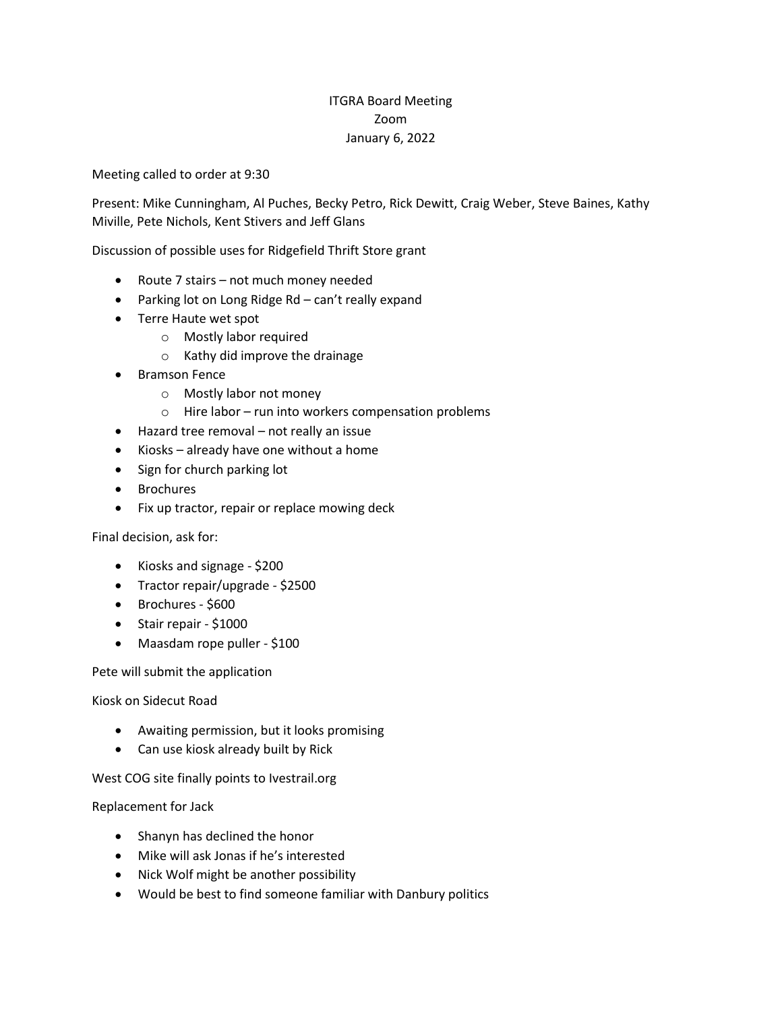## ITGRA Board Meeting Zoom January 6, 2022

Meeting called to order at 9:30

Present: Mike Cunningham, Al Puches, Becky Petro, Rick Dewitt, Craig Weber, Steve Baines, Kathy Miville, Pete Nichols, Kent Stivers and Jeff Glans

Discussion of possible uses for Ridgefield Thrift Store grant

- Route 7 stairs not much money needed
- Parking lot on Long Ridge Rd can't really expand
- Terre Haute wet spot
	- o Mostly labor required
	- o Kathy did improve the drainage
- Bramson Fence
	- o Mostly labor not money
	- o Hire labor run into workers compensation problems
- Hazard tree removal not really an issue
- Kiosks already have one without a home
- Sign for church parking lot
- Brochures
- Fix up tractor, repair or replace mowing deck

Final decision, ask for:

- Kiosks and signage \$200
- Tractor repair/upgrade \$2500
- Brochures \$600
- Stair repair \$1000
- Maasdam rope puller \$100

Pete will submit the application

Kiosk on Sidecut Road

- Awaiting permission, but it looks promising
- Can use kiosk already built by Rick

West COG site finally points to Ivestrail.org

Replacement for Jack

- Shanyn has declined the honor
- Mike will ask Jonas if he's interested
- Nick Wolf might be another possibility
- Would be best to find someone familiar with Danbury politics